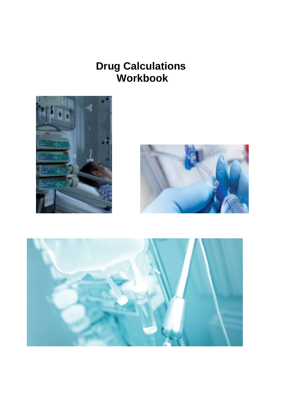## **Drug Calculations Workbook**





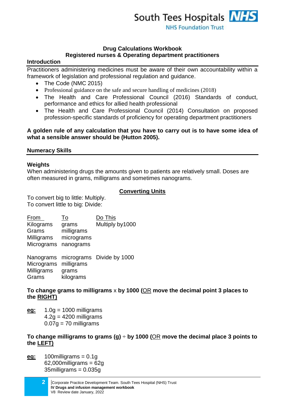### **Drug Calculations Workbook Registered nurses & Operating department practitioners**

## **Introduction**

Practitioners administering medicines must be aware of their own accountability within a framework of legislation and professional regulation and guidance.

- The Code (NMC 2015)
- Professional guidance on the safe and secure handling of medicines (2018)
- The Health and Care Professional Council (2016) Standards of conduct, performance and ethics for allied health professional
- The Health and Care Professional Council (2014) Consultation on proposed profession-specific standards of proficiency for operating department practitioners

## **A golden rule of any calculation that you have to carry out is to have some idea of what a sensible answer should be (Hutton 2005).**

## **Numeracy Skills**

## **Weights**

When administering drugs the amounts given to patients are relatively small. Doses are often measured in grams, milligrams and sometimes nanograms.

## **Converting Units**

To convert big to little: Multiply. To convert little to big: Divide:

| From       | To                   | Do This         |
|------------|----------------------|-----------------|
| Kilograms  | grams                | Multiply by1000 |
| Grams      | milligrams           |                 |
| Milligrams | micrograms           |                 |
| Micrograms | nanograms            |                 |
|            | Nanograms micrograms | Divide by 1000  |
| Micrograms | milligrams           |                 |
| Milligrams | grams                |                 |
| Grams      | kilograms            |                 |

**To change grams to milligrams** x **by 1000 (**OR **move the decimal point 3 places to the RIGHT)**

**eg:** 1.0g = 1000 milligrams  $4.2q = 4200$  milligrams  $0.07q = 70$  milligrams

#### **To change milligrams to grams (g)** ÷ **by 1000 (**OR **move the decimal place 3 points to the LEFT)**

- **eg:** 100milligrams = 0.1g  $62,000$ milligrams =  $62g$ 35milligrams = 0.035g
	- **2** |Corporate Practice Development Team. South Tees Hospital (NHS) Trust **IV Drugs and infusion management workbook** V8 Review date January, 2022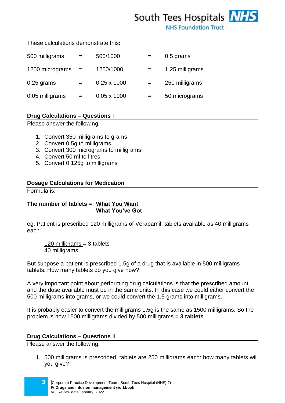# South Tees Hospitals **NHS**

**NHS Foundation Trust** 

#### These calculations demonstrate this**:**

| 500 milligrams  | $=$ | 500/1000           |     | 0.5 grams       |
|-----------------|-----|--------------------|-----|-----------------|
| 1250 micrograms | $=$ | 1250/1000          | $=$ | 1.25 milligrams |
| $0.25$ grams    | $=$ | $0.25 \times 1000$ | $=$ | 250 milligrams  |
| 0.05 milligrams | $=$ | $0.05 \times 1000$ | $=$ | 50 micrograms   |

## **Drug Calculations – Questions** I

Please answer the following:

- 1. Convert 350 milligrams to grams
- 2. Convert 0.5g to milligrams
- 3. Convert 300 micrograms to milligrams
- 4. Convert 50 ml to litres
- 5. Convert 0.125g to milligrams

## **Dosage Calculations for Medication**

Formula is:

## **The number of tablets = What You Want What You've Got**

eg. Patient is prescribed 120 milligrams of Verapamil, tablets available as 40 milligrams each.

120 milligrams = 3 tablets 40 milligrams

But suppose a patient is prescribed 1.5g of a drug that is available in 500 milligrams tablets. How many tablets do you give now?

A very important point about performing drug calculations is that the prescribed amount and the dose available must be in the same units. In this case we could either convert the 500 milligrams into grams, or we could convert the 1.5 grams into milligrams.

It is probably easier to convert the milligrams 1.5g is the same as 1500 milligrams. So the problem is now 1500 milligrams divided by 500 milligrams = **3 tablets**

#### **Drug Calculations – Questions** II

Please answer the following:

1. 500 milligrams is prescribed, tablets are 250 milligrams each: how many tablets will you give?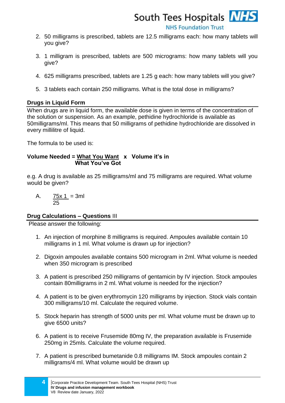

**NHS Foundation Trust** 

- 2. 50 milligrams is prescribed, tablets are 12.5 milligrams each: how many tablets will you give?
- 3. 1 milligram is prescribed, tablets are 500 micrograms: how many tablets will you give?
- 4. 625 milligrams prescribed, tablets are 1.25 g each: how many tablets will you give?
- 5. 3 tablets each contain 250 milligrams. What is the total dose in milligrams?

### **Drugs in Liquid Form**

When drugs are in liquid form, the available dose is given in terms of the concentration of the solution or suspension. As an example, pethidine hydrochloride is available as 50milligrams/ml. This means that 50 milligrams of pethidine hydrochloride are dissolved in every millilitre of liquid.

The formula to be used is:

#### **Volume Needed = What You Want x Volume it's in What You've Got**

e.g. A drug is available as 25 milligrams/ml and 75 milligrams are required. What volume would be given?

A.  $75x 1 = 3m1$ 25

## **Drug Calculations – Questions** III

Please answer the following:

- 1. An injection of morphine 8 milligrams is required. Ampoules available contain 10 milligrams in 1 ml. What volume is drawn up for injection?
- 2. Digoxin ampoules available contains 500 microgram in 2ml. What volume is needed when 350 microgram is prescribed
- 3. A patient is prescribed 250 milligrams of gentamicin by IV injection. Stock ampoules contain 80milligrams in 2 ml. What volume is needed for the injection?
- 4. A patient is to be given erythromycin 120 milligrams by injection. Stock vials contain 300 milligrams/10 ml. Calculate the required volume.
- 5. Stock heparin has strength of 5000 units per ml. What volume must be drawn up to give 6500 units?
- 6. A patient is to receive Frusemide 80mg IV, the preparation available is Frusemide 250mg in 25mls. Calculate the volume required.
- 7. A patient is prescribed bumetanide 0.8 milligrams IM. Stock ampoules contain 2 milligrams/4 ml. What volume would be drawn up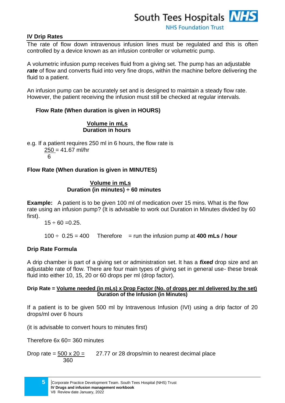## **IV Drip Rates**

The rate of flow down intravenous infusion lines must be regulated and this is often controlled by a device known as an infusion controller or volumetric pump.

A volumetric infusion pump receives fluid from a giving set. The pump has an adjustable *rate* of flow and converts fluid into very fine drops, within the machine before delivering the fluid to a patient.

An infusion pump can be accurately set and is designed to maintain a steady flow rate. However, the patient receiving the infusion must still be checked at regular intervals.

## **Flow Rate (When duration is given in HOURS)**

#### **Volume in mLs Duration in hours**

e.g. If a patient requires 250 ml in 6 hours, the flow rate is  $250 = 41.67$  ml/hr 6

## **Flow Rate (When duration is given in MINUTES)**

### **Volume in mLs Duration (in minutes) ÷ 60 minutes**

**Example:** A patient is to be given 100 ml of medication over 15 mins. What is the flow rate using an infusion pump? (It is advisable to work out Duration in Minutes divided by 60 first).

 $15 \div 60 = 0.25$ .

 $100 \div 0.25 = 400$  Therefore = run the infusion pump at **400 mLs / hour** 

## **Drip Rate Formula**

A drip chamber is part of a giving set or administration set. It has a *fixed* drop size and an adjustable rate of flow. There are four main types of giving set in general use- these break fluid into either 10, 15, 20 or 60 drops per ml (drop factor).

#### **Drip Rate = Volume needed (in mLs) x Drop Factor (No. of drops per ml delivered by the set) Duration of the Infusion (in Minutes)**

If a patient is to be given 500 ml by Intravenous Infusion (IVI) using a drip factor of 20 drops/ml over 6 hours

(it is advisable to convert hours to minutes first)

Therefore 6x 60= 360 minutes

Drop rate =  $500 \times 20 = 27.77$  or 28 drops/min to nearest decimal place 360

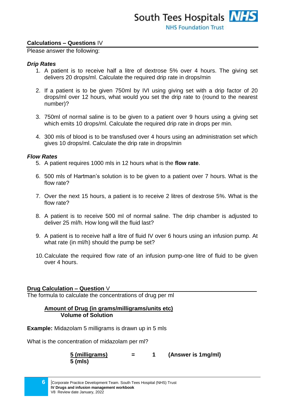#### **Calculations – Questions** IV

Please answer the following:

#### *Drip Rates*

- 1. A patient is to receive half a litre of dextrose 5% over 4 hours. The giving set delivers 20 drops/ml. Calculate the required drip rate in drops/min
- 2. If a patient is to be given 750ml by IVI using giving set with a drip factor of 20 drops/ml over 12 hours, what would you set the drip rate to (round to the nearest number)?
- 3. 750ml of normal saline is to be given to a patient over 9 hours using a giving set which emits 10 drops/ml. Calculate the required drip rate in drops per min.
- 4. 300 mls of blood is to be transfused over 4 hours using an administration set which gives 10 drops/ml. Calculate the drip rate in drops/min

#### *Flow Rates*

- 5. A patient requires 1000 mls in 12 hours what is the **flow rate**.
- 6. 500 mls of Hartman's solution is to be given to a patient over 7 hours. What is the flow rate?
- 7. Over the next 15 hours, a patient is to receive 2 litres of dextrose 5%. What is the flow rate?
- 8. A patient is to receive 500 ml of normal saline. The drip chamber is adjusted to deliver 25 ml/h. How long will the fluid last?
- 9. A patient is to receive half a litre of fluid IV over 6 hours using an infusion pump. At what rate (in ml/h) should the pump be set?
- 10.Calculate the required flow rate of an infusion pump-one litre of fluid to be given over 4 hours.

#### **Drug Calculation – Question** V\_\_\_\_\_\_\_\_\_\_\_\_\_\_\_\_\_\_\_\_\_\_\_\_\_\_\_\_\_\_\_\_\_\_\_\_\_\_\_\_\_\_\_\_\_\_

The formula to calculate the concentrations of drug per ml

### **Amount of Drug (in grams/milligrams/units etc) Volume of Solution**

**Example:** Midazolam 5 milligrams is drawn up in 5 mls

What is the concentration of midazolam per ml?

 **5 (milligrams) = 1 (Answer is 1mg/ml) 5 (mls)**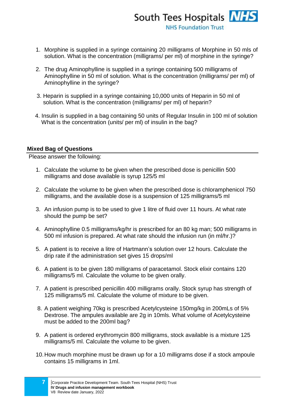- 1. Morphine is supplied in a syringe containing 20 milligrams of Morphine in 50 mls of solution. What is the concentration (milligrams/ per ml) of morphine in the syringe?
- 2. The drug Aminophylline is supplied in a syringe containing 500 milligrams of Aminophylline in 50 ml of solution. What is the concentration (milligrams/ per ml) of Aminophylline in the syringe?
- 3. Heparin is supplied in a syringe containing 10,000 units of Heparin in 50 ml of solution. What is the concentration (milligrams/ per ml) of heparin?
- 4. Insulin is supplied in a bag containing 50 units of Regular Insulin in 100 ml of solution What is the concentration (units/ per ml) of insulin in the bag?

## **Mixed Bag of Questions**

Please answer the following:

- 1. Calculate the volume to be given when the prescribed dose is penicillin 500 milligrams and dose available is syrup 125/5 ml
- 2. Calculate the volume to be given when the prescribed dose is chloramphenicol 750 milligrams, and the available dose is a suspension of 125 milligrams/5 ml
- 3. An infusion pump is to be used to give 1 litre of fluid over 11 hours. At what rate should the pump be set?
- 4. Aminophylline 0.5 milligrams/kg/hr is prescribed for an 80 kg man; 500 milligrams in 500 ml infusion is prepared. At what rate should the infusion run (in ml/hr.)?
- 5. A patient is to receive a litre of Hartmann's solution over 12 hours. Calculate the drip rate if the administration set gives 15 drops/ml
- 6. A patient is to be given 180 milligrams of paracetamol. Stock elixir contains 120 milligrams/5 ml. Calculate the volume to be given orally.
- 7. A patient is prescribed penicillin 400 milligrams orally. Stock syrup has strength of 125 milligrams/5 ml. Calculate the volume of mixture to be given.
- 8. A patient weighing 70kg is prescribed Acetylcysteine 150mg/kg in 200mLs of 5% Dextrose. The ampules available are 2g in 10mls. What volume of Acetylcysteine must be added to the 200ml bag?
- 9. A patient is ordered erythromycin 800 milligrams, stock available is a mixture 125 milligrams/5 ml. Calculate the volume to be given.
- 10.How much morphine must be drawn up for a 10 milligrams dose if a stock ampoule contains 15 milligrams in 1ml.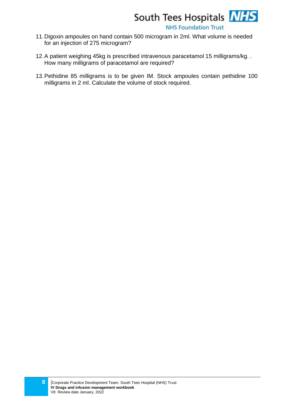

**NHS Foundation Trust** 

- 11.Digoxin ampoules on hand contain 500 microgram in 2ml. What volume is needed for an injection of 275 microgram?
- 12.A patient weighing 45kg is prescribed intravenous paracetamol 15 milligrams/kg. . How many milligrams of paracetamol are required?
- 13.Pethidine 85 milligrams is to be given IM. Stock ampoules contain pethidine 100 milligrams in 2 ml. Calculate the volume of stock required.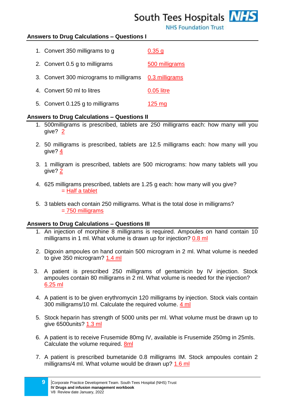## South Tees Hospitals **NHS**

**NHS Foundation Trust** 

## **Answers to Drug Calculations – Questions I**

| 1. Convert 350 milligrams to g                         | 0.35 <sub>q</sub> |
|--------------------------------------------------------|-------------------|
| 2. Convert 0.5 g to milligrams                         | 500 milligrams    |
| 3. Convert 300 micrograms to milligrams 0.3 milligrams |                   |
| 4. Convert 50 ml to litres                             | 0.05 litre        |
| 5. Convert 0.125 g to milligrams                       | $125 \text{ ma}$  |

#### **Answers to Drug Calculations – Questions II**

- 1. 500milligrams is prescribed, tablets are 250 milligrams each: how many will you give? 2
- 2. 50 milligrams is prescribed, tablets are 12.5 milligrams each: how many will you give? 4
- 3. 1 milligram is prescribed, tablets are 500 micrograms: how many tablets will you give? 2
- 4. 625 milligrams prescribed, tablets are 1.25 g each: how many will you give?  $=$  Half a tablet
- 5. 3 tablets each contain 250 milligrams. What is the total dose in milligrams? = 750 milligrams

#### **Answers to Drug Calculations – Questions III**

- 1. An injection of morphine 8 milligrams is required. Ampoules on hand contain 10 milligrams in 1 ml. What volume is drawn up for injection? 0.8 ml
- 2. Digoxin ampoules on hand contain 500 microgram in 2 ml. What volume is needed to give 350 microgram? 1.4 ml
- 3. A patient is prescribed 250 milligrams of gentamicin by IV injection. Stock ampoules contain 80 milligrams in 2 ml. What volume is needed for the injection? 6.25 ml
- 4. A patient is to be given erythromycin 120 milligrams by injection. Stock vials contain 300 milligrams/10 ml. Calculate the required volume. 4 ml
- 5. Stock heparin has strength of 5000 units per ml. What volume must be drawn up to give 6500units? 1.3 ml
- 6. A patient is to receive Frusemide 80mg IV, available is Frusemide 250mg in 25mls. Calculate the volume required. 8ml
- 7. A patient is prescribed bumetanide 0.8 milligrams IM. Stock ampoules contain 2 milligrams/4 ml. What volume would be drawn up? 1.6 ml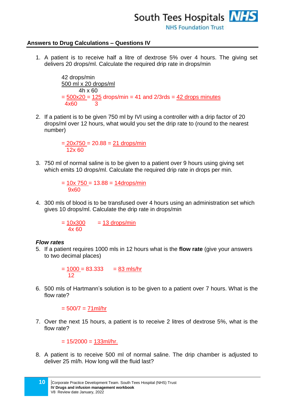

## **Answers to Drug Calculations – Questions IV**

1. A patient is to receive half a litre of dextrose 5% over 4 hours. The giving set delivers 20 drops/ml. Calculate the required drip rate in drops/min

> 42 drops/min 500 ml x 20 drops/ml 4h x 60  $= 500x20 = 125$  drops/min  $= 41$  and  $2/3$ rds  $= 42$  drops minutes 4x60 3

2. If a patient is to be given 750 ml by IVI using a controller with a drip factor of 20 drops/ml over 12 hours, what would you set the drip rate to (round to the nearest number)

> $= 20x750 = 20.88 = 21$  drops/min 12x 60

3. 750 ml of normal saline is to be given to a patient over 9 hours using giving set which emits 10 drops/ml. Calculate the required drip rate in drops per min.

> $= 10x 750 = 13.88 = 14$ drops/min 9x60

4. 300 mls of blood is to be transfused over 4 hours using an administration set which gives 10 drops/ml. Calculate the drip rate in drops/min

> $= 10x300 = 13$  drops/min 4x 60

#### *Flow rates*

5. If a patient requires 1000 mls in 12 hours what is the **flow rate** (give your answers to two decimal places)

> $= 1000 = 83.333 = 83$  mls/hr 12

6. 500 mls of Hartmann's solution is to be given to a patient over 7 hours. What is the flow rate?

 $= 500/7 = 71$ ml/hr

7. Over the next 15 hours, a patient is to receive 2 litres of dextrose 5%, what is the flow rate?

 $= 15/2000 = 133$ ml/hr.

8. A patient is to receive 500 ml of normal saline. The drip chamber is adjusted to deliver 25 ml/h. How long will the fluid last?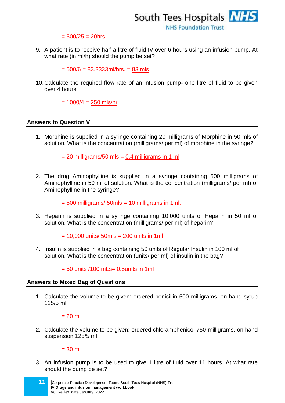

 $= 500/25 = 20$ hrs

9. A patient is to receive half a litre of fluid IV over 6 hours using an infusion pump. At what rate (in ml/h) should the pump be set?

 $= 500/6 = 83.3333$ ml/hrs.  $= 83$  mls

10.Calculate the required flow rate of an infusion pump- one litre of fluid to be given over 4 hours

 $= 1000/4 = 250$  mls/hr

#### **Answers to Question V**

1. Morphine is supplied in a syringe containing 20 milligrams of Morphine in 50 mls of solution. What is the concentration (milligrams/ per ml) of morphine in the syringe?

 $= 20$  milligrams/50 mls  $= 0.4$  milligrams in 1 ml

2. The drug Aminophylline is supplied in a syringe containing 500 milligrams of Aminophylline in 50 ml of solution. What is the concentration (milligrams/ per ml) of Aminophylline in the syringe?

 $= 500$  milligrams/  $50$ mls  $= 10$  milligrams in 1ml.

3. Heparin is supplied in a syringe containing 10,000 units of Heparin in 50 ml of solution. What is the concentration (milligrams/ per ml) of heparin?

 $= 10,000$  units/ 50mls  $= 200$  units in 1ml.

4. Insulin is supplied in a bag containing 50 units of Regular Insulin in 100 ml of solution. What is the concentration (units/ per ml) of insulin in the bag?

 $= 50$  units /100 mLs= 0.5 units in 1 ml

#### **Answers to Mixed Bag of Questions**

1. Calculate the volume to be given: ordered penicillin 500 milligrams, on hand syrup 125/5 ml

 $= 20$  ml

2. Calculate the volume to be given: ordered chloramphenicol 750 milligrams, on hand suspension 125/5 ml

 $= 30$  ml

3. An infusion pump is to be used to give 1 litre of fluid over 11 hours. At what rate should the pump be set?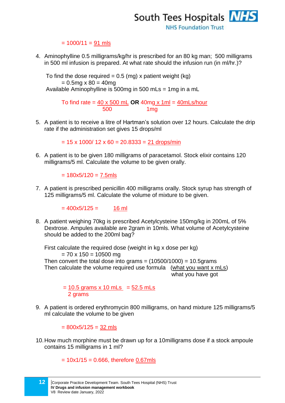

#### $= 1000/11 = 91$  mls

4. Aminophylline 0.5 milligrams/kg/hr is prescribed for an 80 kg man; 500 milligrams in 500 ml infusion is prepared. At what rate should the infusion run (in ml/hr.)?

To find the dose required  $= 0.5$  (mg) x patient weight (kg)  $= 0.5$ mg x 80 = 40mg Available Aminophylline is 500mg in 500 mLs = 1mg in a mL

> To find rate = 40 x 500 mL **OR** 40mg x 1ml = 40mLs/hour 500 1mg

5. A patient is to receive a litre of Hartman's solution over 12 hours. Calculate the drip rate if the administration set gives 15 drops/ml

 $= 15 \times 1000 / 12 \times 60 = 20.8333 = 21$  drops/min

6. A patient is to be given 180 milligrams of paracetamol. Stock elixir contains 120 milligrams/5 ml. Calculate the volume to be given orally.

 $= 180x5/120 = 7.5mls$ 

7. A patient is prescribed penicillin 400 milligrams orally. Stock syrup has strength of 125 milligrams/5 ml. Calculate the volume of mixture to be given.

 $= 400x5/125 = 16$  ml

8. A patient weighing 70kg is prescribed Acetylcysteine 150mg/kg in 200mL of 5% Dextrose. Ampules available are 2gram in 10mls. What volume of Acetylcysteine should be added to the 200ml bag?

First calculate the required dose (weight in kg x dose per kg)  $= 70 \times 150 = 10500$  mg Then convert the total dose into grams  $= (10500/1000) = 10.5$ grams Then calculate the volume required use formula (what you want x mLs) what you have got

> $= 10.5$  grams x 10 mLs =  $52.5$  mLs 2 grams

9. A patient is ordered erythromycin 800 milligrams, on hand mixture 125 milligrams/5 ml calculate the volume to be given

 $= 800x5/125 = 32$  mls

10.How much morphine must be drawn up for a 10milligrams dose if a stock ampoule contains 15 milligrams in 1 ml?

 $= 10x1/15 = 0.666$ , therefore 0.67mls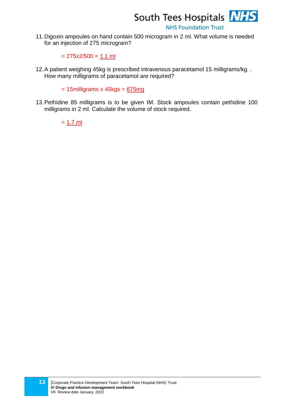

**NHS Foundation Trust** 

11.Digoxin ampoules on hand contain 500 microgram in 2 ml. What volume is needed for an injection of 275 microgram?

 $= 275x2/500 = 1.1$  ml

12.A patient weighing 45kg is prescribed intravenous paracetamol 15 milligrams/kg. . How many milligrams of paracetamol are required?

 $= 15$ milligrams x 45kgs =  $675mg$ 

13.Pethidine 85 milligrams is to be given IM. Stock ampoules contain pethidine 100 milligrams in 2 ml. Calculate the volume of stock required.

 $= 1.7$  ml